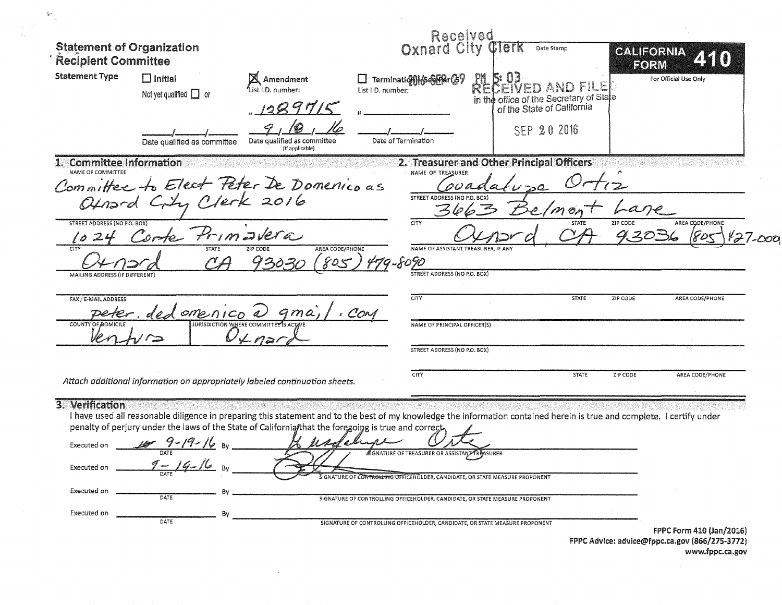| <b>Statement of Organization</b><br><b>Recipient Committee</b> |                                               |                                                                                                                                                                         |                                                       | Received<br>Oxnard City<br><b>Clerk</b>                            | Date Stamp                                                                                             | CALIFORNIA<br>FORM | 2510                  |
|----------------------------------------------------------------|-----------------------------------------------|-------------------------------------------------------------------------------------------------------------------------------------------------------------------------|-------------------------------------------------------|--------------------------------------------------------------------|--------------------------------------------------------------------------------------------------------|--------------------|-----------------------|
| <b>Statement Type</b>                                          | $\Box$ Initial<br>Not yet qualified $\Box$ or | Amendment<br>List I.D. number:<br>1289715                                                                                                                               | $\Box$ Termination $\frac{1}{2}$<br>List I.D. number: | <b>RL</b>                                                          | EIVED AND FILE<br>in the office of the Secretary of State<br>of the State of California<br>SEP 20 2016 |                    | For Official Use Only |
|                                                                | Date qualified as committee                   | Date qualified as committee<br>(If applicable)                                                                                                                          | Date of Termination                                   |                                                                    |                                                                                                        |                    |                       |
| 1. Committee Information<br>NAME OF COMMITTEE                  |                                               |                                                                                                                                                                         |                                                       | 2. Treasurer and Other Principal Officers<br>NAME OF TREASURER     |                                                                                                        |                    |                       |
|                                                                |                                               | Committee to Elect Peter De Domenico as                                                                                                                                 |                                                       |                                                                    |                                                                                                        |                    |                       |
|                                                                |                                               |                                                                                                                                                                         |                                                       | STREET ADDRESS (NO P.O. BOX)                                       |                                                                                                        |                    |                       |
| <b>STREET ADDRESS (NO P.O. BOX)</b>                            |                                               |                                                                                                                                                                         | <b>CITY</b>                                           |                                                                    | <b>STATE</b>                                                                                           | ZIP CODE           | AREA CODE/PHONE       |
| $\ell$<br>CITY                                                 | orte Primavera<br><b>STATE</b>                | <b>ZIP CODE</b>                                                                                                                                                         | AREA CODE/PHONE                                       | NAME OF ASSISTANT TREASURER, IF ANY                                |                                                                                                        | 9.3036             |                       |
|                                                                |                                               | 13030                                                                                                                                                                   | 805<br>9-8090                                         |                                                                    |                                                                                                        |                    |                       |
| MAILING ADDRESS (IF DIFFERENT)                                 |                                               |                                                                                                                                                                         |                                                       | STREET ADDRESS (NO P.O. BOX)                                       |                                                                                                        |                    |                       |
| FAX / E-MAIL ADDRESS                                           |                                               |                                                                                                                                                                         | CITY                                                  |                                                                    | <b>STATE</b>                                                                                           | ZIP CODE           | AREA CODE/PHONE       |
| <b>COUNTY OF DOMICILE</b>                                      | omenico                                       | <b>JURISDICTION WHERE COMMITTEE'S ACTA</b>                                                                                                                              | . COM                                                 | NAME OF PRINCIPAL OFFICER(S)                                       |                                                                                                        |                    |                       |
|                                                                |                                               | 2n                                                                                                                                                                      |                                                       |                                                                    |                                                                                                        |                    |                       |
|                                                                |                                               |                                                                                                                                                                         |                                                       | STREET ADDRESS (NO P.O. BOX)                                       |                                                                                                        |                    |                       |
|                                                                |                                               | Attach additional information on appropriately labeled continuation sheets.                                                                                             | CITY                                                  |                                                                    | <b>STATE</b>                                                                                           | ZIP CODE           | AREA CODE/PHONE       |
|                                                                |                                               |                                                                                                                                                                         |                                                       |                                                                    |                                                                                                        |                    |                       |
| 3. Verification                                                |                                               | I have used all reasonable diligence in preparing this statement and to the best of my knowledge the information contained herein is true and complete. I certify under |                                                       |                                                                    |                                                                                                        |                    |                       |
|                                                                |                                               | penalty of perjury under the laws of the State of California/that the foregoing is true and correct.                                                                    |                                                       |                                                                    |                                                                                                        |                    |                       |
|                                                                | Executed on $\frac{167}{2}$ 9-19-16 BV        |                                                                                                                                                                         |                                                       | <b>AGNATURE OF TREASURER OR ASSISTANT TRASURER</b>                 |                                                                                                        |                    |                       |
| Executed on                                                    | $9 - 19 - 16$                                 |                                                                                                                                                                         |                                                       |                                                                    |                                                                                                        |                    |                       |
|                                                                |                                               |                                                                                                                                                                         |                                                       | <b>ROLLING OFFICEHOLDER, CANDIDATE, OR STATE MEASURE PROPONENT</b> |                                                                                                        |                    |                       |
| Executed on                                                    |                                               |                                                                                                                                                                         |                                                       |                                                                    |                                                                                                        |                    |                       |

FPPC Advice: advice@fppc.ca.gov (866/275-3772)<br>www.fppc.ca.gov